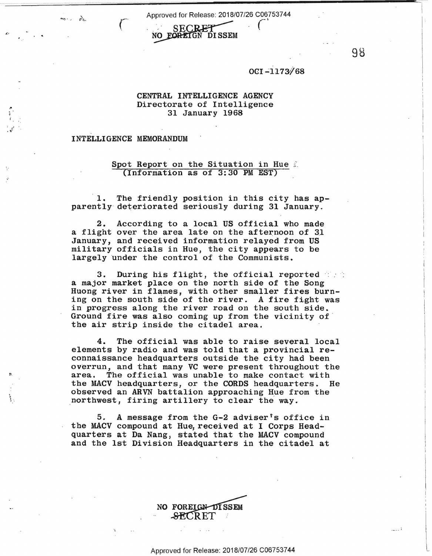Approved for Release: 2018/07/26 C06753744



OCI-1173/68

98

*(* - \

## **CENTRAL INTELLIGENCE AGENCY**  Directorate of Intelligence 31 January 1968

## INTELLIGENCE MEMORANDUM

*,r.,* 

,, .; *(* 

> ' <sup>~</sup>·.

## Spot Report on the Situation in Hue 2 (Information as of 3:30 PM EST)

1. The friendly position in this city has apparently deteriorated seriously during 31 January.

2. According to a local US official who made a flight over the area late on the afternoon of 31 January, and received information relayed from US military officials in Hue, the city appears to be largely under the control of the Communists.

3. During his flight, the official reported a major market place on the north side of the Song Huong river in flames, with other smaller fires burning on the south side of the river. A fire fight was in progress along the river road on the south side. Ground fire was also coming up from the vicinity of the air strip inside the citadel area.

4. The official was able to raise several local elements by radio and was told that a provincial reconnaissance headquarters outside the city had been overrun, and that many VC were present throughout the area. The official was unable to make contact with the MACV headquarters, or the CORDS headquarters. He observed an ARVN battalion approaching Hue from the northwest, firing artillery to clear the way.

5. A message from the  $G-2$  adviser<sup>t</sup>s office in the MACV compound at Hue, received at I Corps Headquarters at Da Nang, stated that the MACV compound and the 1st Division Headquarters in the citadel at